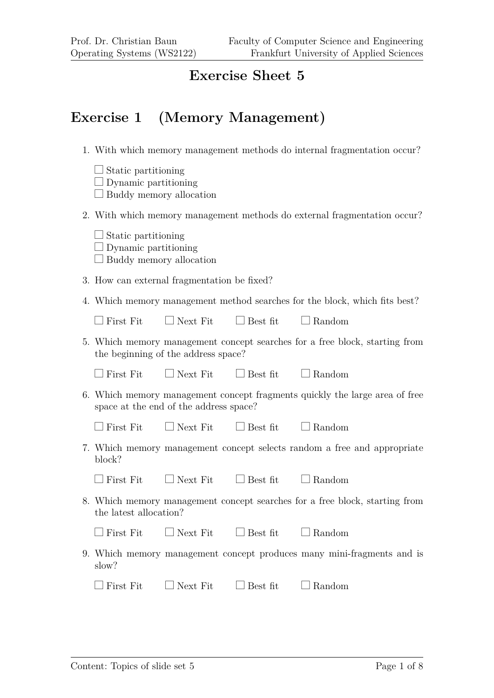#### **Exercise Sheet 5**

#### **Exercise 1 (Memory Management)**

- 1. With which memory management methods do internal fragmentation occur?
	- $\Box$  Static partitioning  $\Box$  Dynamic partitioning
	-
	- $\Box$  Buddy memory allocation
- 2. With which memory management methods do external fragmentation occur?
	- $\Box$  Static partitioning  $\Box$  Dynamic partitioning
	- $\Box$  Buddy memory allocation
- 3. How can external fragmentation be fixed?
- 4. Which memory management method searches for the block, which fits best?

|                                  | First Fit $\Box$ Next Fit $\Box$ Best fit |                 | $\Box$ Random                                                               |
|----------------------------------|-------------------------------------------|-----------------|-----------------------------------------------------------------------------|
|                                  | the beginning of the address space?       |                 | 5. Which memory management concept searches for a free block, starting from |
| First Fit                        | $\Box$ Next Fit                           | $\Box$ Best fit | $\Box$ Random                                                               |
|                                  | space at the end of the address space?    |                 | 6. Which memory management concept fragments quickly the large area of free |
| $\Box$ First Fit $\Box$ Next Fit |                                           | $\Box$ Best fit | $\Box$ Random                                                               |
| block?                           |                                           |                 | 7. Which memory management concept selects random a free and appropriate    |
| First Fit                        | $\Box$ Next Fit                           | $\Box$ Best fit | $\Box$ Random                                                               |
| the latest allocation?           |                                           |                 | 8. Which memory management concept searches for a free block, starting from |
| First Fit                        | $\Box$ Next Fit                           | $\Box$ Best fit | $\Box$ Random                                                               |
| slow?                            |                                           |                 | 9. Which memory management concept produces many mini-fragments and is      |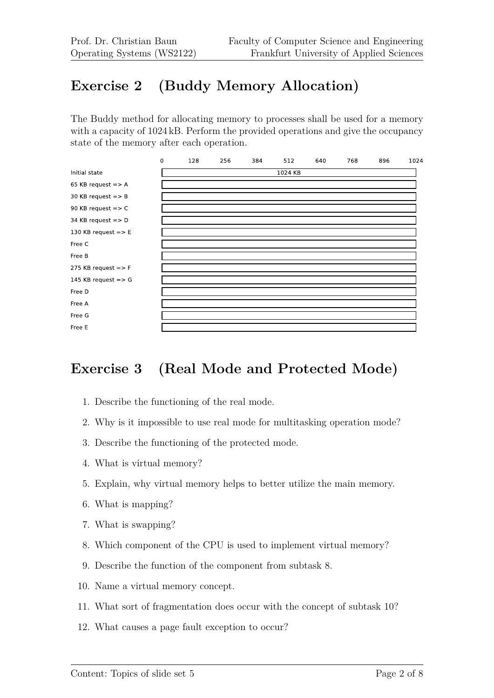## **Exercise 2 (Buddy Memory Allocation)**

The Buddy method for allocating memory to processes shall be used for a memory with a capacity of 1024 kB. Perform the provided operations and give the occupancy state of the memory after each operation.



#### **Exercise 3 (Real Mode and Protected Mode)**

- 1. Describe the functioning of the real mode.
- 2. Why is it impossible to use real mode for multitasking operation mode?
- 3. Describe the functioning of the protected mode.
- 4. What is virtual memory?
- 5. Explain, why virtual memory helps to better utilize the main memory.
- 6. What is mapping?
- 7. What is swapping?
- 8. Which component of the CPU is used to implement virtual memory?
- 9. Describe the function of the component from subtask 8.
- 10. Name a virtual memory concept.
- 11. What sort of fragmentation does occur with the concept of subtask 10?
- 12. What causes a page fault exception to occur?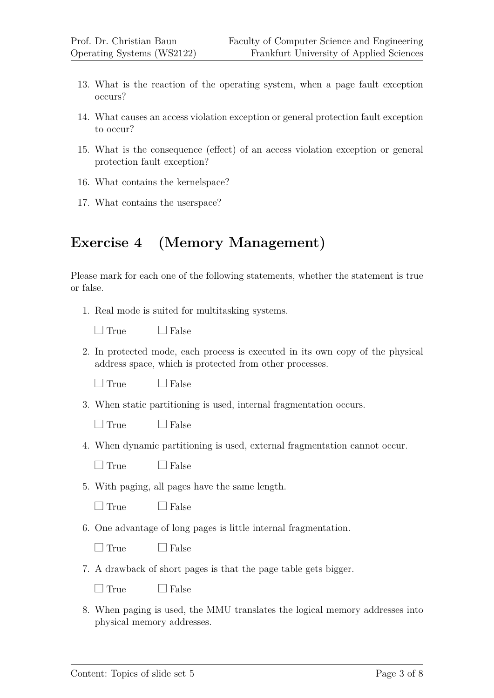- 13. What is the reaction of the operating system, when a page fault exception occurs?
- 14. What causes an access violation exception or general protection fault exception to occur?
- 15. What is the consequence (effect) of an access violation exception or general protection fault exception?
- 16. What contains the kernelspace?
- 17. What contains the userspace?

### **Exercise 4 (Memory Management)**

Please mark for each one of the following statements, whether the statement is true or false.

1. Real mode is suited for multitasking systems.

|--|

 $\Box$  False

2. In protected mode, each process is executed in its own copy of the physical address space, which is protected from other processes.

 $\Box$  True  $\Box$  False

3. When static partitioning is used, internal fragmentation occurs.

 $\Box$  True  $\Box$  False

4. When dynamic partitioning is used, external fragmentation cannot occur.

 $\Box$  True  $\Box$  False

5. With paging, all pages have the same length.

 $\Box$  True  $\Box$  False

6. One advantage of long pages is little internal fragmentation.

 $\Box$  True  $\Box$  False

7. A drawback of short pages is that the page table gets bigger.

 $\Box$  True  $\Box$  False

8. When paging is used, the MMU translates the logical memory addresses into physical memory addresses.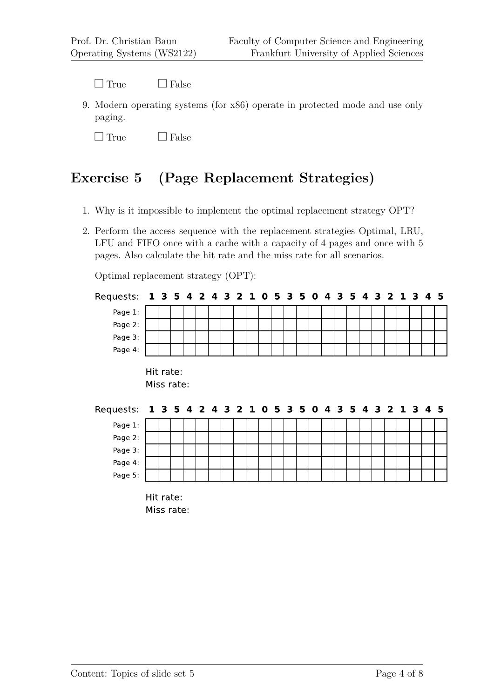$\Box$  True  $\Box$  False

9. Modern operating systems (for x86) operate in protected mode and use only paging.

 $\Box$  True  $\Box$  False

#### **Exercise 5 (Page Replacement Strategies)**

- 1. Why is it impossible to implement the optimal replacement strategy OPT?
- 2. Perform the access sequence with the replacement strategies Optimal, LRU, LFU and FIFO once with a cache with a capacity of 4 pages and once with 5 pages. Also calculate the hit rate and the miss rate for all scenarios.

Optimal replacement strategy (OPT):

| Requests: 1 3 5 4 2 4 3 2 1 0 5 3 5 0 4 3 5 4 3 2 1 3 4 5            |           |            |  |  |  |  |  |  |  |  |  |  |  |
|----------------------------------------------------------------------|-----------|------------|--|--|--|--|--|--|--|--|--|--|--|
| Page 1:                                                              |           |            |  |  |  |  |  |  |  |  |  |  |  |
| Page 2:                                                              |           |            |  |  |  |  |  |  |  |  |  |  |  |
| Page 3:                                                              |           |            |  |  |  |  |  |  |  |  |  |  |  |
| Page 4:                                                              |           |            |  |  |  |  |  |  |  |  |  |  |  |
|                                                                      | Hit rate: | Miss rate: |  |  |  |  |  |  |  |  |  |  |  |
|                                                                      |           |            |  |  |  |  |  |  |  |  |  |  |  |
| Requests: 1 3 5 4 2 4 3 2 1 0 5 3 5 0 4 3 5 4 3 2 1 3 4 5<br>Page 1: |           |            |  |  |  |  |  |  |  |  |  |  |  |
| Page 2:                                                              |           |            |  |  |  |  |  |  |  |  |  |  |  |
| Page 3:                                                              |           |            |  |  |  |  |  |  |  |  |  |  |  |
| Page 4:                                                              |           |            |  |  |  |  |  |  |  |  |  |  |  |
| Page 5:                                                              |           |            |  |  |  |  |  |  |  |  |  |  |  |

Miss rate: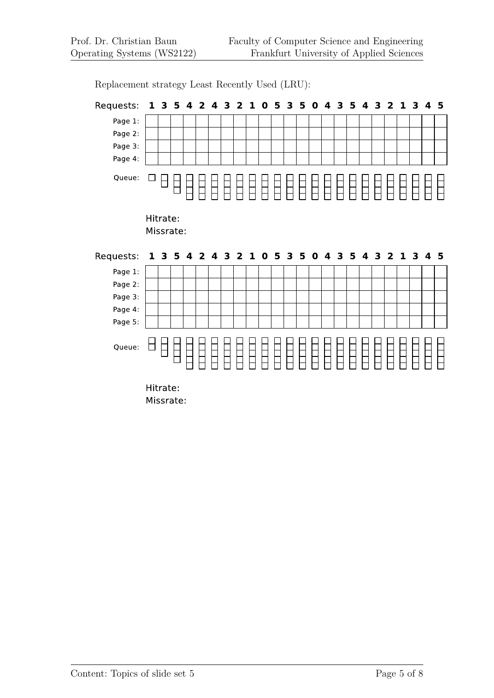Requests: 1 3 5 4 2 4 3 2 1 0 5 3 5 0 4 3 5 4 3 2 1 3 4 5 Page 1: Page 2: Page 3: Page 4: Queue:  $\square$ 8888888888888888888888888 E HHH E  $\Box$ Hitrate: Missrate: Requests: 1 3 5 4 2 4 3 2 1 0 5 3 5 0 4 3 5 4 3 2 1 3 4 5 Page 1: Page 2: Page 3: Page 4: Page 5: AAAAA<br>HHHHH E Queue:  $\Box$ EE E TП  $\Box$ 

Replacement strategy Least Recently Used (LRU):

Hitrate: Missrate: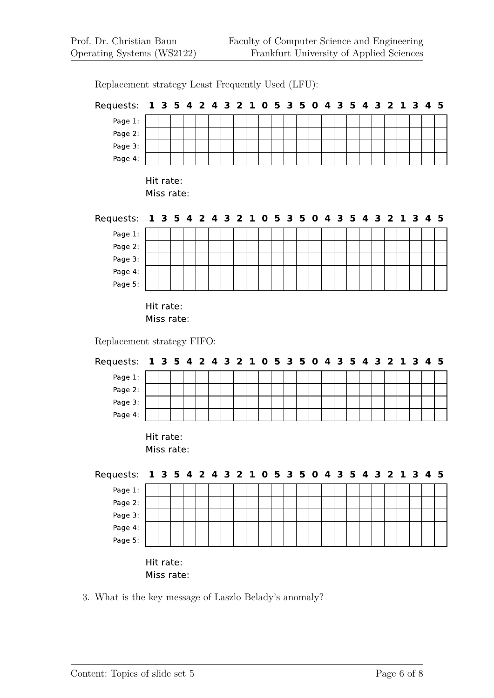Replacement strategy Least Frequently Used (LFU):

3. What is the key message of Laszlo Belady's anomaly?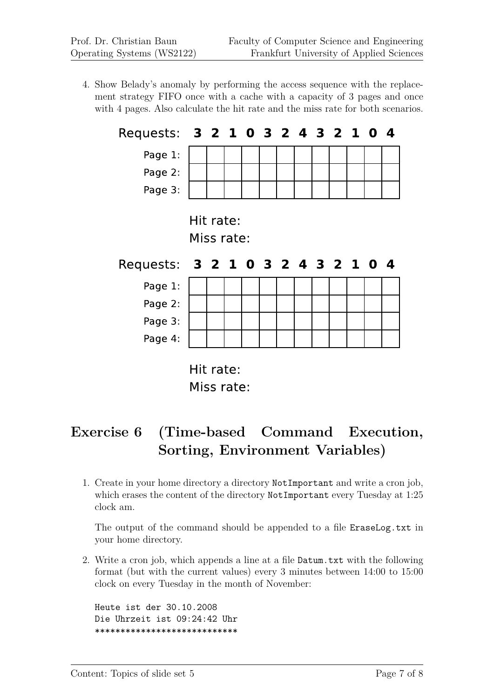4. Show Belady's anomaly by performing the access sequence with the replacement strategy FIFO once with a cache with a capacity of 3 pages and once with 4 pages. Also calculate the hit rate and the miss rate for both scenarios.



Miss rate:

# **Exercise 6 (Time-based Command Execution, Sorting, Environment Variables)**

1. Create in your home directory a directory NotImportant and write a cron job, which erases the content of the directory NotImportant every Tuesday at 1:25 clock am.

The output of the command should be appended to a file EraseLog.txt in your home directory.

2. Write a cron job, which appends a line at a file Datum.txt with the following format (but with the current values) every 3 minutes between 14:00 to 15:00 clock on every Tuesday in the month of November:

Heute ist der 30.10.2008 Die Uhrzeit ist 09:24:42 Uhr \*\*\*\*\*\*\*\*\*\*\*\*\*\*\*\*\*\*\*\*\*\*\*\*\*\*\*\*